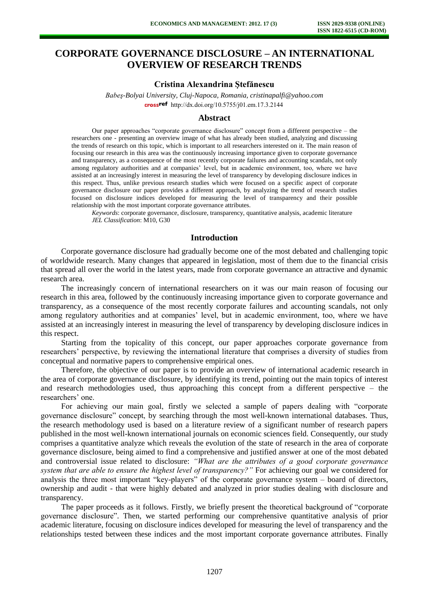# **CORPORATE GOVERNANCE DISCLOSURE – AN INTERNATIONAL OVERVIEW OF RESEARCH TRENDS**

## **Cristina Alexandrina Ştefănescu**

*Babeş-Bolyai University, Cluj-Napoca, Romania, cristinapalfi@yahoo.com*  crossref [http://dx.doi.org/10.5755/j01.e](http://dx.doi.org/10.5755/j01.em.17.3.2144)m.17.3.2144

# **Abstract**

Our paper approaches "corporate governance disclosure" concept from a different perspective – the researchers one - presenting an overview image of what has already been studied, analyzing and discussing the trends of research on this topic, which is important to all researchers interested on it. The main reason of focusing our research in this area was the continuously increasing importance given to corporate governance and transparency, as a consequence of the most recently corporate failures and accounting scandals, not only among regulatory authorities and at companies' level, but in academic environment, too, where we have assisted at an increasingly interest in measuring the level of transparency by developing disclosure indices in this respect. Thus, unlike previous research studies which were focused on a specific aspect of corporate governance disclosure our paper provides a different approach, by analyzing the trend of research studies focused on disclosure indices developed for measuring the level of transparency and their possible relationship with the most important corporate governance attributes.

*Keywords*: corporate governance, disclosure, transparency, quantitative analysis, academic literature *JEL Classification*: M10, G30

## **Introduction**

Corporate governance disclosure had gradually become one of the most debated and challenging topic of worldwide research. Many changes that appeared in legislation, most of them due to the financial crisis that spread all over the world in the latest years, made from corporate governance an attractive and dynamic research area.

The increasingly concern of international researchers on it was our main reason of focusing our research in this area, followed by the continuously increasing importance given to corporate governance and transparency, as a consequence of the most recently corporate failures and accounting scandals, not only among regulatory authorities and at companies' level, but in academic environment, too, where we have assisted at an increasingly interest in measuring the level of transparency by developing disclosure indices in this respect.

Starting from the topicality of this concept, our paper approaches corporate governance from researchers' perspective, by reviewing the international literature that comprises a diversity of studies from conceptual and normative papers to comprehensive empirical ones.

Therefore, the objective of our paper is to provide an overview of international academic research in the area of corporate governance disclosure, by identifying its trend, pointing out the main topics of interest and research methodologies used, thus approaching this concept from a different perspective – the researchers' one.

For achieving our main goal, firstly we selected a sample of papers dealing with "corporate governance disclosure" concept, by searching through the most well-known international databases. Thus, the research methodology used is based on a literature review of a significant number of research papers published in the most well-known international journals on economic sciences field. Consequently, our study comprises a quantitative analyze which reveals the evolution of the state of research in the area of corporate governance disclosure, being aimed to find a comprehensive and justified answer at one of the most debated and controversial issue related to disclosure: *"What are the attributes of a good corporate governance system that are able to ensure the highest level of transparency?"* For achieving our goal we considered for analysis the three most important "key-players" of the corporate governance system – board of directors, ownership and audit - that were highly debated and analyzed in prior studies dealing with disclosure and transparency.

The paper proceeds as it follows. Firstly, we briefly present the theoretical background of "corporate governance disclosure". Then, we started performing our comprehensive quantitative analysis of prior academic literature, focusing on disclosure indices developed for measuring the level of transparency and the relationships tested between these indices and the most important corporate governance attributes. Finally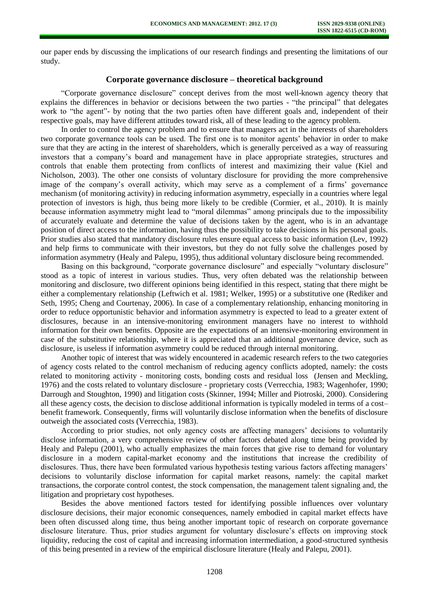our paper ends by discussing the implications of our research findings and presenting the limitations of our study.

# **Corporate governance disclosure – theoretical background**

"Corporate governance disclosure" concept derives from the most well-known agency theory that explains the differences in behavior or decisions between the two parties - "the principal" that delegates work to "the agent"- by noting that the two parties often have different goals and, independent of their respective goals, may have different attitudes toward risk, all of these leading to the agency problem.

In order to control the agency problem and to ensure that managers act in the interests of shareholders two corporate governance tools can be used. The first one is to monitor agents' behavior in order to make sure that they are acting in the interest of shareholders, which is generally perceived as a way of reassuring investors that a company's board and management have in place appropriate strategies, structures and controls that enable them protecting from conflicts of interest and maximizing their value (Kiel and Nicholson, 2003). The other one consists of voluntary disclosure for providing the more comprehensive image of the company's overall activity, which may serve as a complement of a firms' governance mechanism (of monitoring activity) in reducing information asymmetry, especially in a countries where legal protection of investors is high, thus being more likely to be credible (Cormier, et al., 2010). It is mainly because information asymmetry might lead to "moral dilemmas" among principals due to the impossibility of accurately evaluate and determine the value of decisions taken by the agent, who is in an advantage position of direct access to the information, having thus the possibility to take decisions in his personal goals. Prior studies also stated that mandatory disclosure rules ensure equal access to basic information (Lev, 1992) and help firms to communicate with their investors, but they do not fully solve the challenges posed by information asymmetry (Healy and Palepu, 1995), thus additional voluntary disclosure being recommended.

Basing on this background, "corporate governance disclosure" and especially "voluntary disclosure" stood as a topic of interest in various studies. Thus, very often debated was the relationship between monitoring and disclosure, two different opinions being identified in this respect, stating that there might be either a complementary relationship (Leftwich et al. 1981; Welker, 1995) or a substitutive one (Rediker and Seth, 1995; Cheng and Courtenay, 2006). In case of a complementary relationship, enhancing monitoring in order to reduce opportunistic behavior and information asymmetry is expected to lead to a greater extent of disclosures, because in an intensive-monitoring environment managers have no interest to withhold information for their own benefits. Opposite are the expectations of an intensive-monitoring environment in case of the substitutive relationship, where it is appreciated that an additional governance device, such as disclosure, is useless if information asymmetry could be reduced through internal monitoring.

Another topic of interest that was widely encountered in academic research refers to the two categories of agency costs related to the control mechanism of reducing agency conflicts adopted, namely: the costs related to monitoring activity - monitoring costs, bonding costs and residual loss (Jensen and Meckling, 1976) and the costs related to voluntary disclosure - proprietary costs (Verrecchia, 1983; Wagenhofer, 1990; Darrough and Stoughton, 1990) and litigation costs (Skinner, 1994; Miller and Piotroski, 2000). Considering all these agency costs, the decision to disclose additional information is typically modeled in terms of a cost– benefit framework. Consequently, firms will voluntarily disclose information when the benefits of disclosure outweigh the associated costs (Verrecchia, 1983).

According to prior studies, not only agency costs are affecting managers' decisions to voluntarily disclose information, a very comprehensive review of other factors debated along time being provided by Healy and Palepu (2001), who actually emphasizes the main forces that give rise to demand for voluntary disclosure in a modern capital-market economy and the institutions that increase the credibility of disclosures. Thus, there have been formulated various hypothesis testing various factors affecting managers' decisions to voluntarily disclose information for capital market reasons, namely: the capital market transactions, the corporate control contest, the stock compensation, the management talent signaling and, the litigation and proprietary cost hypotheses.

Besides the above mentioned factors tested for identifying possible influences over voluntary disclosure decisions, their major economic consequences, namely embodied in capital market effects have been often discussed along time, thus being another important topic of research on corporate governance disclosure literature. Thus, prior studies argument for voluntary disclosure's effects on improving stock liquidity, reducing the cost of capital and increasing information intermediation, a good-structured synthesis of this being presented in a review of the empirical disclosure literature (Healy and Palepu, 2001).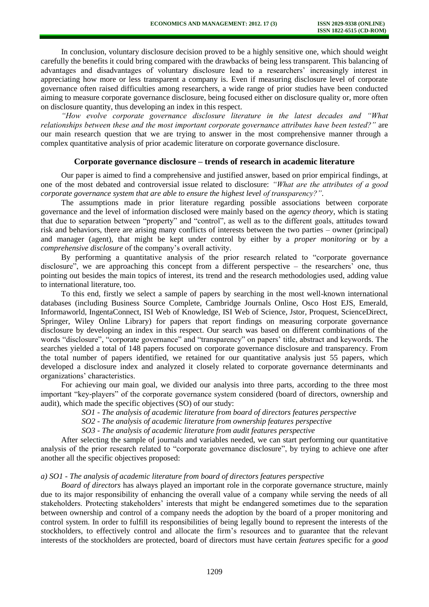In conclusion, voluntary disclosure decision proved to be a highly sensitive one, which should weight carefully the benefits it could bring compared with the drawbacks of being less transparent. This balancing of advantages and disadvantages of voluntary disclosure lead to a researchers' increasingly interest in appreciating how more or less transparent a company is. Even if measuring disclosure level of corporate governance often raised difficulties among researchers, a wide range of prior studies have been conducted aiming to measure corporate governance disclosure, being focused either on disclosure quality or, more often on disclosure quantity, thus developing an index in this respect.

*"How evolve corporate governance disclosure literature in the latest decades and "What relationships between these and the most important corporate governance attributes have been tested?"* are our main research question that we are trying to answer in the most comprehensive manner through a complex quantitative analysis of prior academic literature on corporate governance disclosure.

## **Corporate governance disclosure – trends of research in academic literature**

Our paper is aimed to find a comprehensive and justified answer, based on prior empirical findings, at one of the most debated and controversial issue related to disclosure: *"What are the attributes of a good corporate governance system that are able to ensure the highest level of transparency?"*.

The assumptions made in prior literature regarding possible associations between corporate governance and the level of information disclosed were mainly based on the *agency theory*, which is stating that due to separation between "property" and "control", as well as to the different goals, attitudes toward risk and behaviors, there are arising many conflicts of interests between the two parties – owner (principal) and manager (agent), that might be kept under control by either by a *proper monitoring* or by a *comprehensive disclosure* of the company's overall activity.

By performing a quantitative analysis of the prior research related to "corporate governance disclosure", we are approaching this concept from a different perspective – the researchers' one, thus pointing out besides the main topics of interest, its trend and the research methodologies used, adding value to international literature, too.

To this end, firstly we select a sample of papers by searching in the most well-known international databases (including Business Source Complete, Cambridge Journals Online, Osco Host EJS, Emerald, Informaworld, IngentaConnect, ISI Web of Knowledge, ISI Web of Science, Jstor, Proquest, ScienceDirect, Springer, Wiley Online Library) for papers that report findings on measuring corporate governance disclosure by developing an index in this respect. Our search was based on different combinations of the words "disclosure", "corporate governance" and "transparency" on papers' title, abstract and keywords. The searches yielded a total of 148 papers focused on corporate governance disclosure and transparency. From the total number of papers identified, we retained for our quantitative analysis just 55 papers, which developed a disclosure index and analyzed it closely related to corporate governance determinants and organizations' characteristics.

For achieving our main goal, we divided our analysis into three parts, according to the three most important "key-players" of the corporate governance system considered (board of directors, ownership and audit), which made the specific objectives (SO) of our study:

*SO1 - The analysis of academic literature from board of directors features perspective* 

*SO2 - The analysis of academic literature from ownership features perspective* 

*SO3 - The analysis of academic literature from audit features perspective* 

After selecting the sample of journals and variables needed, we can start performing our quantitative analysis of the prior research related to "corporate governance disclosure", by trying to achieve one after another all the specific objectives proposed:

## *a) SO1 - The analysis of academic literature from board of directors features perspective*

*Board of directors* has always played an important role in the corporate governance structure, mainly due to its major responsibility of enhancing the overall value of a company while serving the needs of all stakeholders. Protecting stakeholders' interests that might be endangered sometimes due to the separation between ownership and control of a company needs the adoption by the board of a proper monitoring and control system. In order to fulfill its responsibilities of being legally bound to represent the interests of the stockholders, to effectively control and allocate the firm's resources and to guarantee that the relevant interests of the stockholders are protected, board of directors must have certain *features* specific for a *good*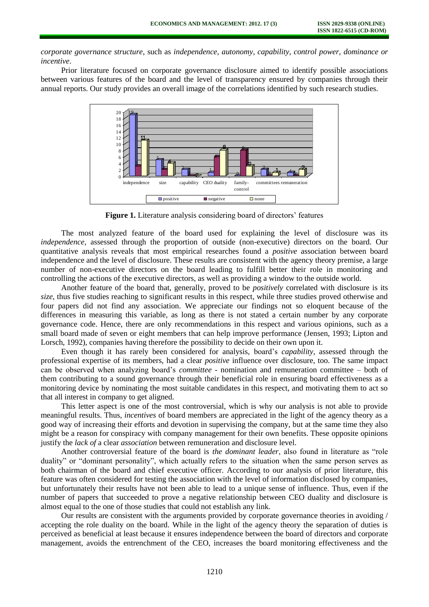*corporate governance structure*, such as *independence, autonomy, capability, control power, dominance or incentive*.

Prior literature focused on corporate governance disclosure aimed to identify possible associations between various features of the board and the level of transparency ensured by companies through their annual reports. Our study provides an overall image of the correlations identified by such research studies.



**Figure 1.** Literature analysis considering board of directors' features

The most analyzed feature of the board used for explaining the level of disclosure was its *independence*, assessed through the proportion of outside (non-executive) directors on the board. Our quantitative analysis reveals that most empirical researches found a *positive* association between board independence and the level of disclosure. These results are consistent with the agency theory premise, a large number of non-executive directors on the board leading to fulfill better their role in monitoring and controlling the actions of the executive directors, as well as providing a window to the outside world.

Another feature of the board that, generally, proved to be *positively* correlated with disclosure is its *size*, thus five studies reaching to significant results in this respect, while three studies proved otherwise and four papers did not find any association. We appreciate our findings not so eloquent because of the differences in measuring this variable, as long as there is not stated a certain number by any corporate governance code. Hence, there are only recommendations in this respect and various opinions, such as a small board made of seven or eight members that can help improve performance (Jensen, 1993; Lipton and Lorsch, 1992), companies having therefore the possibility to decide on their own upon it.

Even though it has rarely been considered for analysis, board's *capability,* assessed through the professional expertise of its members, had a clear *positive* influence over disclosure, too. The same impact can be observed when analyzing board's *committee* - nomination and remuneration committee – both of them contributing to a sound governance through their beneficial role in ensuring board effectiveness as a monitoring device by nominating the most suitable candidates in this respect, and motivating them to act so that all interest in company to get aligned.

This letter aspect is one of the most controversial, which is why our analysis is not able to provide meaningful results. Thus, *incentives* of board members are appreciated in the light of the agency theory as a good way of increasing their efforts and devotion in supervising the company, but at the same time they also might be a reason for conspiracy with company management for their own benefits. These opposite opinions justify the *lack of* a clear *association* between remuneration and disclosure level.

Another controversial feature of the board is *the dominant leader*, also found in literature as "role duality" or "dominant personality", which actually refers to the situation when the same person serves as both chairman of the board and chief executive officer. According to our analysis of prior literature, this feature was often considered for testing the association with the level of information disclosed by companies, but unfortunately their results have not been able to lead to a unique sense of influence. Thus, even if the number of papers that succeeded to prove a negative relationship between CEO duality and disclosure is almost equal to the one of those studies that could not establish any link.

Our results are consistent with the arguments provided by corporate governance theories in avoiding / accepting the role duality on the board. While in the light of the agency theory the separation of duties is perceived as beneficial at least because it ensures independence between the board of directors and corporate management, avoids the entrenchment of the CEO, increases the board monitoring effectiveness and the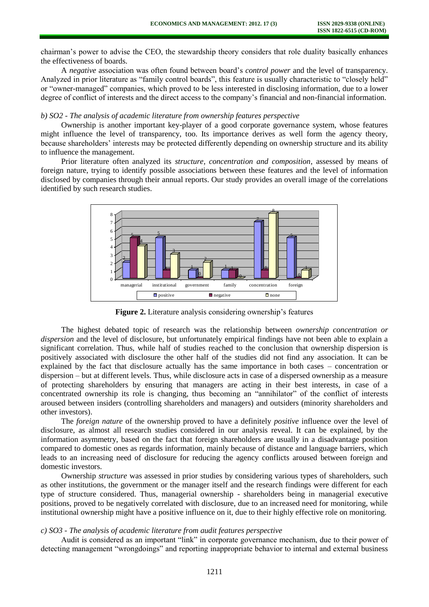chairman's power to advise the CEO, the stewardship theory considers that role duality basically enhances the effectiveness of boards.

A *negative* association was often found between board's *control power* and the level of transparency. Analyzed in prior literature as "family control boards", this feature is usually characteristic to "closely held" or "owner-managed" companies, which proved to be less interested in disclosing information, due to a lower degree of conflict of interests and the direct access to the company's financial and non-financial information.

# *b) SO2 - The analysis of academic literature from ownership features perspective*

Ownership is another important key-player of a good corporate governance system, whose features might influence the level of transparency, too. Its importance derives as well form the agency theory, because shareholders' interests may be protected differently depending on ownership structure and its ability to influence the management.

Prior literature often analyzed its *structure, concentration and composition*, assessed by means of foreign nature, trying to identify possible associations between these features and the level of information disclosed by companies through their annual reports. Our study provides an overall image of the correlations identified by such research studies.



**Figure 2.** Literature analysis considering ownership's features

The highest debated topic of research was the relationship between *ownership concentration or dispersion* and the level of disclosure, but unfortunately empirical findings have not been able to explain a significant correlation. Thus, while half of studies reached to the conclusion that ownership dispersion is positively associated with disclosure the other half of the studies did not find any association. It can be explained by the fact that disclosure actually has the same importance in both cases – concentration or dispersion – but at different levels. Thus, while disclosure acts in case of a dispersed ownership as a measure of protecting shareholders by ensuring that managers are acting in their best interests, in case of a concentrated ownership its role is changing, thus becoming an "annihilator" of the conflict of interests aroused between insiders (controlling shareholders and managers) and outsiders (minority shareholders and other investors).

The *foreign nature* of the ownership proved to have a definitely *positive* influence over the level of disclosure, as almost all research studies considered in our analysis reveal. It can be explained, by the information asymmetry, based on the fact that foreign shareholders are usually in a disadvantage position compared to domestic ones as regards information, mainly because of distance and language barriers, which leads to an increasing need of disclosure for reducing the agency conflicts aroused between foreign and domestic investors.

Ownership *structure* was assessed in prior studies by considering various types of shareholders, such as other institutions, the government or the manager itself and the research findings were different for each type of structure considered. Thus, managerial ownership - shareholders being in managerial executive positions, proved to be negatively correlated with disclosure, due to an increased need for monitoring, while institutional ownership might have a positive influence on it, due to their highly effective role on monitoring.

#### *c) SO3 - The analysis of academic literature from audit features perspective*

Audit is considered as an important "link" in corporate governance mechanism, due to their power of detecting management "wrongdoings" and reporting inappropriate behavior to internal and external [business](http://www.ehow.com/business/)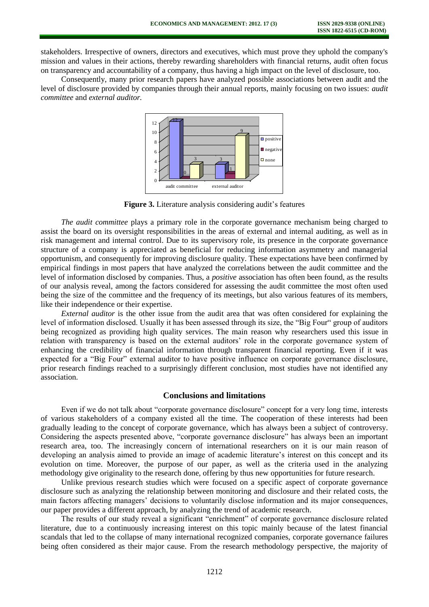stakeholders. Irrespective of owners, directors and executives, which must prove they uphold the company's mission and values in their actions, thereby rewarding shareholders with [financial](http://www.ehow.com/facts_7241360_role-auditors-corporate-governance.html) returns, audit often focus on transparency and accountability of a company, thus having a high impact on the level of disclosure, too.

Consequently, many prior research papers have analyzed possible associations between audit and the level of disclosure provided by companies through their annual reports, mainly focusing on two issues: *audit committee* and *external auditor.* 



**Figure 3.** Literature analysis considering audit's features

*The audit committee* plays a primary role in the corporate governance mechanism being charged to assist the board on its oversight responsibilities in the areas of external and internal auditing, as well as in risk management and internal control. Due to its supervisory role, its presence in the corporate governance structure of a company is appreciated as beneficial for reducing information asymmetry and managerial opportunism, and consequently for improving disclosure quality. These expectations have been confirmed by empirical findings in most papers that have analyzed the correlations between the audit committee and the level of information disclosed by companies. Thus, a *positive* association has often been found, as the results of our analysis reveal, among the factors considered for assessing the audit committee the most often used being the size of the committee and the frequency of its meetings, but also various features of its members, like their independence or their expertise.

*External auditor* is the other issue from the audit area that was often considered for explaining the level of information disclosed. Usually it has been assessed through its size, the "Big Four" group of auditors being recognized as providing high quality services. The main reason why researchers used this issue in relation with transparency is based on the external auditors' role in the corporate governance system of enhancing the credibility of financial information through transparent financial reporting. Even if it was expected for a "Big Four" external auditor to have positive influence on corporate governance disclosure, prior research findings reached to a surprisingly different conclusion, most studies have not identified any association.

#### **Conclusions and limitations**

Even if we do not talk about "corporate governance disclosure" concept for a very long time, interests of various stakeholders of a company existed all the time. The cooperation of these interests had been gradually leading to the concept of corporate governance, which has always been a subject of controversy. Considering the aspects presented above, "corporate governance disclosure" has always been an important research area, too. The increasingly concern of international researchers on it is our main reason of developing an analysis aimed to provide an image of academic literature's interest on this concept and its evolution on time. Moreover, the purpose of our paper, as well as the criteria used in the analyzing methodology give originality to the research done, offering by thus new opportunities for future research.

Unlike previous research studies which were focused on a specific aspect of corporate governance disclosure such as analyzing the relationship between monitoring and disclosure and their related costs, the main factors affecting managers' decisions to voluntarily disclose information and its major consequences, our paper provides a different approach, by analyzing the trend of academic research.

The results of our study reveal a significant "enrichment" of corporate governance disclosure related literature, due to a continuously increasing interest on this topic mainly because of the latest financial scandals that led to the collapse of many international recognized companies, corporate governance failures being often considered as their major cause. From the research methodology perspective, the majority of